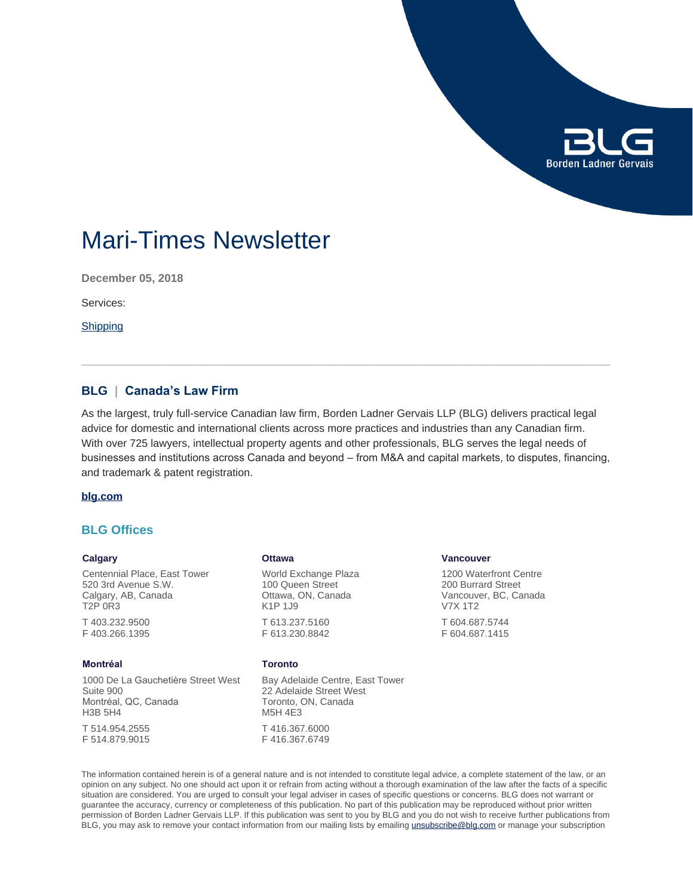

# Mari-Times Newsletter

**December 05, 2018**

Services:

**[Shipping](https://www.blg.com/en/services/industries/transportation/shipping)** 

# **BLG | Canada's Law Firm**

As the largest, truly full-service Canadian law firm, Borden Ladner Gervais LLP (BLG) delivers practical legal advice for domestic and international clients across more practices and industries than any Canadian firm. With over 725 lawyers, intellectual property agents and other professionals, BLG serves the legal needs of businesses and institutions across Canada and beyond – from M&A and capital markets, to disputes, financing, and trademark & patent registration.

#### **[blg.com](http://www.blg.com)**

# **BLG Offices**

### **Calgary**

Centennial Place, East Tower 520 3rd Avenue S.W. Calgary, AB, Canada T2P 0R3 T 403.232.9500

F 403.266.1395

## **Montréal**

1000 De La Gauchetière Street West Suite 900 Montréal, QC, Canada H3B 5H4 T 514.954.2555

F 514.879.9015

#### **Ottawa**

World Exchange Plaza 100 Queen Street Ottawa, ON, Canada K1P 1J9 T 613.237.5160 F 613.230.8842

#### **Toronto**

Bay Adelaide Centre, East Tower 22 Adelaide Street West Toronto, ON, Canada M5H 4E3 T 416.367.6000 F 416.367.6749

### **Vancouver**

1200 Waterfront Centre 200 Burrard Street Vancouver, BC, Canada V7X 1T2

T 604.687.5744 F 604.687.1415

The information contained herein is of a general nature and is not intended to constitute legal advice, a complete statement of the law, or an opinion on any subject. No one should act upon it or refrain from acting without a thorough examination of the law after the facts of a specific situation are considered. You are urged to consult your legal adviser in cases of specific questions or concerns. BLG does not warrant or guarantee the accuracy, currency or completeness of this publication. No part of this publication may be reproduced without prior written permission of Borden Ladner Gervais LLP. If this publication was sent to you by BLG and you do not wish to receive further publications from BLG, you may ask to remove your contact information from our mailing lists by emailing [unsubscribe@blg.com](mailto:unsubscribe@blg.com) or manage your subscription